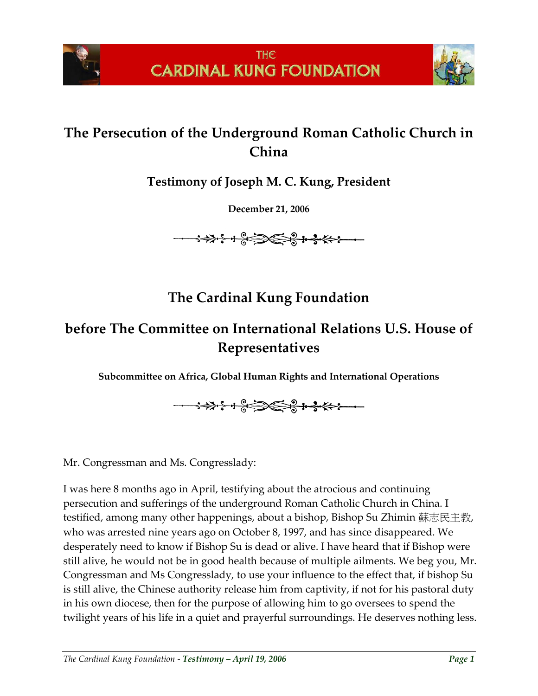



## **The Persecution of the Underground Roman Catholic Church in China**

**Testimony of Joseph M. C. Kung, President**

**December 21, 2006**



## **The Cardinal Kung Foundation**

## **before The Committee on International Relations U.S. House of Representatives**

**Subcommittee on Africa, Global Human Rights and International Operations**

Mr. Congressman and Ms. Congresslady:

I was here 8 months ago in April, testifying about the atrocious and continuing persecution and sufferings of the underground Roman Catholic Church in China. I testified, among many other happenings, about a bishop, Bishop Su Zhimin 蘇志民主教, who was arrested nine years ago on October 8, 1997, and has since disappeared. We desperately need to know if Bishop Su is dead or alive. I have heard that if Bishop were still alive, he would not be in good health because of multiple ailments. We beg you, Mr. Congressman and Ms Congresslady, to use your influence to the effect that, if bishop Su is still alive, the Chinese authority release him from captivity, if not for his pastoral duty in his own diocese, then for the purpose of allowing him to go oversees to spend the twilight years of his life in a quiet and prayerful surroundings. He deserves nothing less.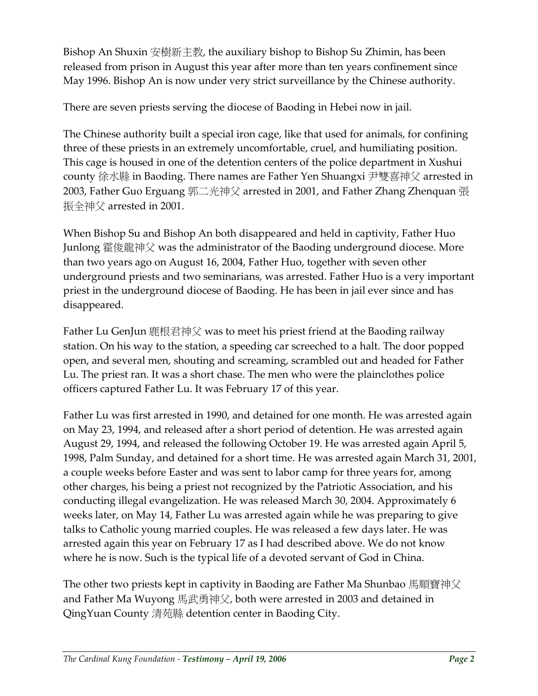Bishop An Shuxin 安樹新主教, the auxiliary bishop to Bishop Su Zhimin, has been released from prison in August this year after more than ten years confinement since May 1996. Bishop An is now under very strict surveillance by the Chinese authority.

There are seven priests serving the diocese of Baoding in Hebei now in jail.

The Chinese authority built a special iron cage, like that used for animals, for confining three of these priests in an extremely uncomfortable, cruel, and humiliating position. This cage is housed in one of the detention centers of the police department in Xushui county 徐水縣 in Baoding. There names are Father Yen Shuangxi 尹雙喜神父 arrested in 2003, Father Guo Erguang 郭二光神父 arrested in 2001, and Father Zhang Zhenquan 張 振全神父 arrested in 2001.

When Bishop Su and Bishop An both disappeared and held in captivity, Father Huo Junlong 霍俊龍神父 was the administrator of the Baoding underground diocese. More than two years ago on August 16, 2004, Father Huo, together with seven other underground priests and two seminarians, was arrested. Father Huo is a very important priest in the underground diocese of Baoding. He has been in jail ever since and has disappeared.

Father Lu GenJun 鹿根君神父 was to meet his priest friend at the Baoding railway station. On his way to the station, a speeding car screeched to a halt. The door popped open, and several men, shouting and screaming, scrambled out and headed for Father Lu. The priest ran. It was a short chase. The men who were the plainclothes police officers captured Father Lu. It was February 17 of this year.

Father Lu was first arrested in 1990, and detained for one month. He was arrested again on May 23, 1994, and released after a short period of detention. He was arrested again August 29, 1994, and released the following October 19. He was arrested again April 5, 1998, Palm Sunday, and detained for a short time. He was arrested again March 31, 2001, a couple weeks before Easter and was sent to labor camp for three years for, among other charges, his being a priest not recognized by the Patriotic Association, and his conducting illegal evangelization. He was released March 30, 2004. Approximately 6 weeks later, on May 14, Father Lu was arrested again while he was preparing to give talks to Catholic young married couples. He was released a few days later. He was arrested again this year on February 17 as I had described above. We do not know where he is now. Such is the typical life of a devoted servant of God in China.

The other two priests kept in captivity in Baoding are Father Ma Shunbao 馬順寶神父 and Father Ma Wuyong 馬武勇神父, both were arrested in 2003 and detained in QingYuan County 清苑縣 detention center in Baoding City.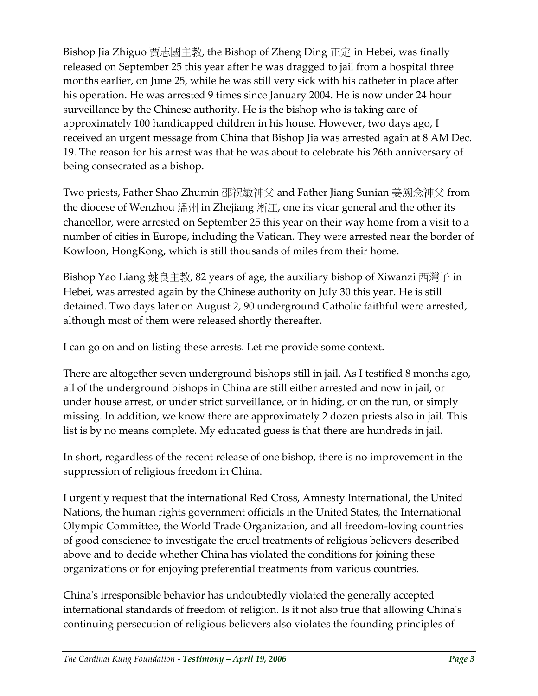Bishop Jia Zhiguo 賈志國主教, the Bishop of Zheng Ding 正定 in Hebei, was finally released on September 25 this year after he was dragged to jail from a hospital three months earlier, on June 25, while he was still very sick with his catheter in place after his operation. He was arrested 9 times since January 2004. He is now under 24 hour surveillance by the Chinese authority. He is the bishop who is taking care of approximately 100 handicapped children in his house. However, two days ago, I received an urgent message from China that Bishop Jia was arrested again at 8 AM Dec. 19. The reason for his arrest was that he was about to celebrate his 26th anniversary of being consecrated as a bishop.

Two priests, Father Shao Zhumin 邵祝敏神父 and Father Jiang Sunian 姜溯念神父 from the diocese of Wenzhou 溫州 in Zhejiang 淅江, one its vicar general and the other its chancellor, were arrested on September 25 this year on their way home from a visit to a number of cities in Europe, including the Vatican. They were arrested near the border of Kowloon, HongKong, which is still thousands of miles from their home.

Bishop Yao Liang 姚良主教, 82 years of age, the auxiliary bishop of Xiwanzi 西灣子 in Hebei, was arrested again by the Chinese authority on July 30 this year. He is still detained. Two days later on August 2, 90 underground Catholic faithful were arrested, although most of them were released shortly thereafter.

I can go on and on listing these arrests. Let me provide some context.

There are altogether seven underground bishops still in jail. As I testified 8 months ago, all of the underground bishops in China are still either arrested and now in jail, or under house arrest, or under strict surveillance, or in hiding, or on the run, or simply missing. In addition, we know there are approximately 2 dozen priests also in jail. This list is by no means complete. My educated guess is that there are hundreds in jail.

In short, regardless of the recent release of one bishop, there is no improvement in the suppression of religious freedom in China.

I urgently request that the international Red Cross, Amnesty International, the United Nations, the human rights government officials in the United States, the International Olympic Committee, the World Trade Organization, and all freedom-loving countries of good conscience to investigate the cruel treatments of religious believers described above and to decide whether China has violated the conditions for joining these organizations or for enjoying preferential treatments from various countries.

China's irresponsible behavior has undoubtedly violated the generally accepted international standards of freedom of religion. Is it not also true that allowing China's continuing persecution of religious believers also violates the founding principles of